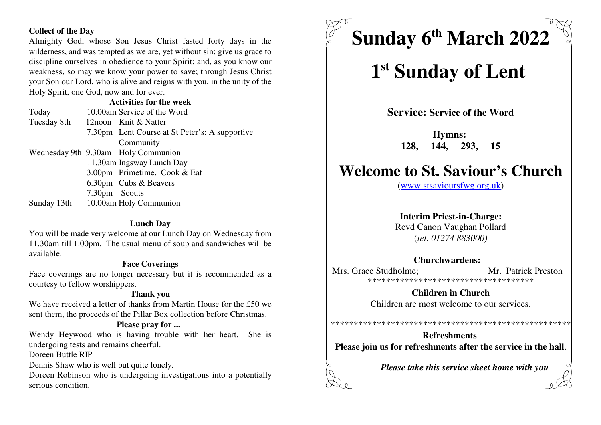#### **Collect of the Day**

 Almighty God, whose Son Jesus Christ fasted forty days in the wilderness, and was tempted as we are, yet without sin: give us grace to discipline ourselves in obedience to your Spirit; and, as you know our weakness, so may we know your power to save; through Jesus Christ your Son our Lord, who is alive and reigns with you, in the unity of theHoly Spirit, one God, now and for ever.

#### **Activities for the week**

 Today 10.00am Service of the WordTuesday 8th 12noon Knit & Natter 7.30pm Lent Course at St Peter's: A supportive Community Wednesday 9th 9.30am Holy Communion 11.30am Ingsway Lunch Day 3.00pm Primetime. Cook & Eat 6.30pm Cubs & Beavers 7.30pm ScoutsSunday 13th 10.00am Holy Communion

#### **Lunch Day**

 You will be made very welcome at our Lunch Day on Wednesday from 11.30am till 1.00pm. The usual menu of soup and sandwiches will beavailable.

#### **Face Coverings**

 Face coverings are no longer necessary but it is recommended as acourtesy to fellow worshippers.

#### **Thank you**

 We have received a letter of thanks from Martin House for the £50 wesent them, the proceeds of the Pillar Box collection before Christmas.

#### **Please pray for ...**

 Wendy Heywood who is having trouble with her heart. She isundergoing tests and remains cheerful.

Doreen Buttle RIP

Dennis Shaw who is well but quite lonely.

 Doreen Robinson who is undergoing investigations into a potentiallyserious condition.

# **Sunday 6 March 2022 th**

## 1<sup>st</sup> Sunday of Lent

**Service: Service of the Word**

**Hymns: 128, 144, 293, 15**

### **Welcome to St. Saviour's Church**

(www.stsavioursfwg.org.uk)

#### **Interim Priest-in-Charge:**

 Revd Canon Vaughan Pollard(*tel. 01274 883000)*

#### **Churchwardens:**

Mrs. Grace Studholme: Mr. Patrick Preston \*\*\*\*\*\*\*\*\*\*\*\*\*\*\*\*\*\*\*\*\*\*\*\*\*\*\*\*\*\*\*\*\*\*\*\*

> **Children in Church**Children are most welcome to our services.

**Refreshments**.**Please join us for refreshments after the service in the hall**.

\*\*\*\*\*\*\*\*\*\*\*\*\*\*\*\*\*\*\*\*\*\*\*\*\*\*\*\*\*\*\*\*\*\*\*\*\*\*\*\*\*\*\*\*\*\*\*\*\*\*\*\*

*Please take this service sheet home with you*